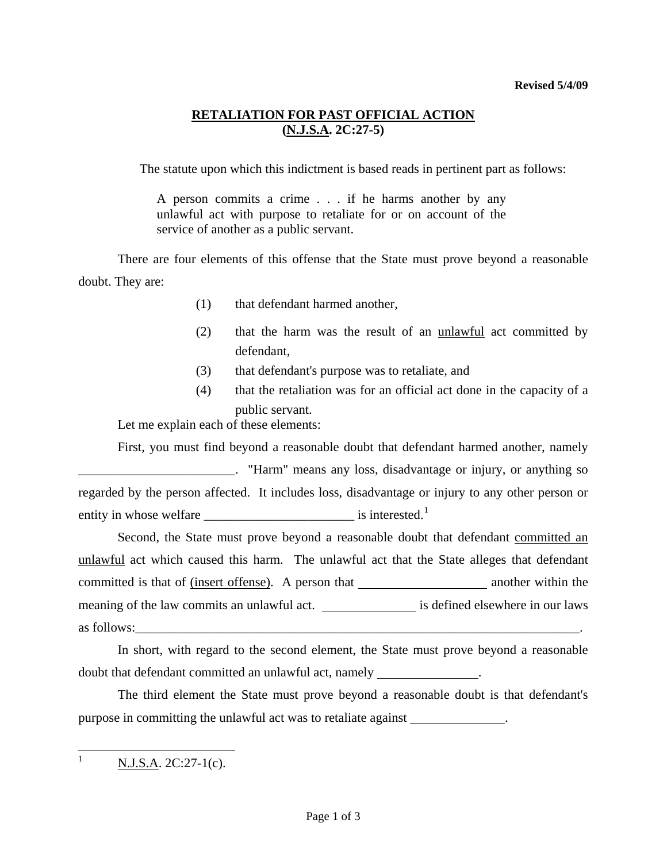## **Revised 5/4/09**

## **RETALIATION FOR PAST OFFICIAL ACTION (N.J.S.A. 2C:27-5)**

The statute upon which this indictment is based reads in pertinent part as follows:

A person commits a crime . . . if he harms another by any unlawful act with purpose to retaliate for or on account of the service of another as a public servant.

 There are four elements of this offense that the State must prove beyond a reasonable doubt. They are:

- (1) that defendant harmed another,
- (2) that the harm was the result of an unlawful act committed by defendant,
- (3) that defendant's purpose was to retaliate, and
- (4) that the retaliation was for an official act done in the capacity of a public servant.

Let me explain each of these elements:

 First, you must find beyond a reasonable doubt that defendant harmed another, namely **Example 2.** "Harm" means any loss, disadvantage or injury, or anything so regarded by the person affected. It includes loss, disadvantage or injury to any other person or entity in whose welfare \_\_\_\_\_\_\_\_\_\_\_\_\_\_\_\_\_\_\_\_\_\_\_ is interested.[1](#page-0-0)

Second, the State must prove beyond a reasonable doubt that defendant committed an unlawful act which caused this harm. The unlawful act that the State alleges that defendant committed is that of (insert offense). A person that \_\_\_\_\_\_\_\_\_\_\_\_\_\_\_\_\_\_\_\_\_\_\_\_\_\_\_\_ another within the meaning of the law commits an unlawful act. \_\_\_\_\_\_\_\_\_\_\_\_\_\_\_\_\_ is defined elsewhere in our laws as follows:

 In short, with regard to the second element, the State must prove beyond a reasonable doubt that defendant committed an unlawful act, namely .

 The third element the State must prove beyond a reasonable doubt is that defendant's purpose in committing the unlawful act was to retaliate against .

<span id="page-0-0"></span> $\mathbf{1}$  $N.J.S.A. 2C:27-1(c).$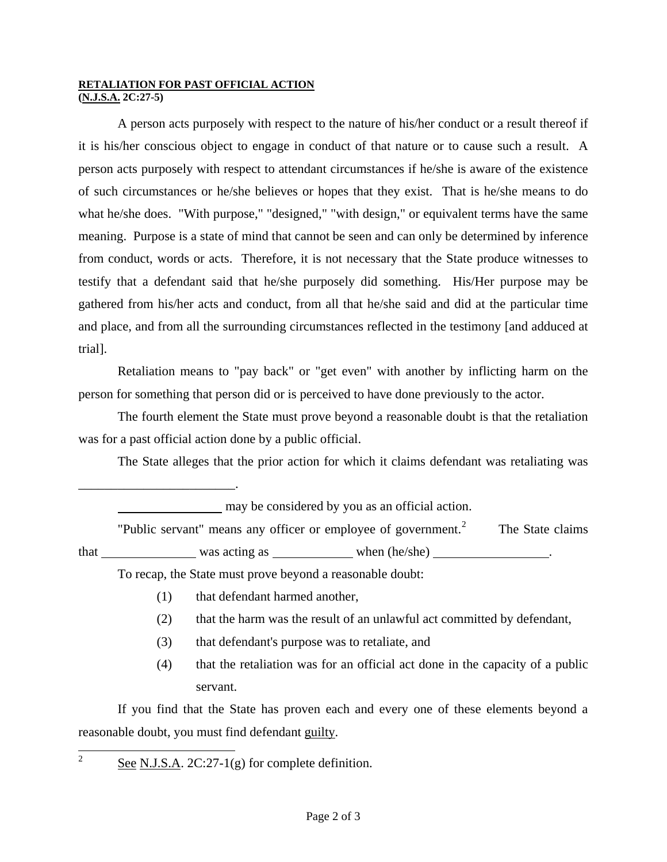## **RETALIATION FOR PAST OFFICIAL ACTION (N.J.S.A. 2C:27-5)**

\_\_\_\_\_\_\_\_\_\_\_\_\_\_\_\_\_\_\_\_\_\_\_\_.

 A person acts purposely with respect to the nature of his/her conduct or a result thereof if it is his/her conscious object to engage in conduct of that nature or to cause such a result. A person acts purposely with respect to attendant circumstances if he/she is aware of the existence of such circumstances or he/she believes or hopes that they exist. That is he/she means to do what he/she does. "With purpose," "designed," "with design," or equivalent terms have the same meaning. Purpose is a state of mind that cannot be seen and can only be determined by inference from conduct, words or acts. Therefore, it is not necessary that the State produce witnesses to testify that a defendant said that he/she purposely did something. His/Her purpose may be gathered from his/her acts and conduct, from all that he/she said and did at the particular time and place, and from all the surrounding circumstances reflected in the testimony [and adduced at trial].

 Retaliation means to "pay back" or "get even" with another by inflicting harm on the person for something that person did or is perceived to have done previously to the actor.

 The fourth element the State must prove beyond a reasonable doubt is that the retaliation was for a past official action done by a public official.

The State alleges that the prior action for which it claims defendant was retaliating was

may be considered by you as an official action. "Public servant" means any officer or employee of government.<sup>[2](#page-0-0)</sup> The State claims that was acting as when (he/she) .

To recap, the State must prove beyond a reasonable doubt:

- (1) that defendant harmed another,
- (2) that the harm was the result of an unlawful act committed by defendant,
- (3) that defendant's purpose was to retaliate, and
- (4) that the retaliation was for an official act done in the capacity of a public servant.

 If you find that the State has proven each and every one of these elements beyond a reasonable doubt, you must find defendant guilty.

 $\overline{2}$ See N.J.S.A.  $2C:27-1(g)$  for complete definition.